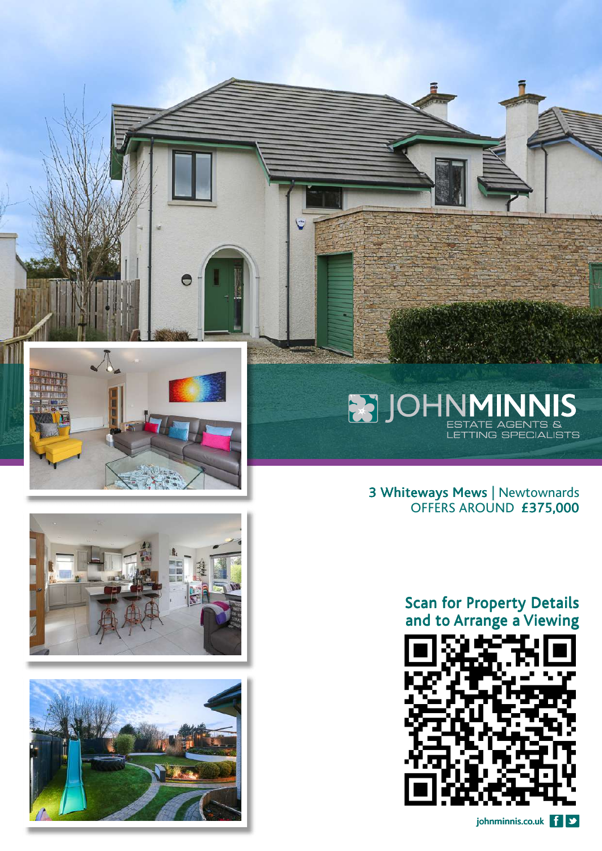

Θ





# **BELOHNMINNIS**

3 Whiteways Mews | Newtownards OFFERS AROUND £375,000

#### Scan for Property Details and to Arrange a Viewing

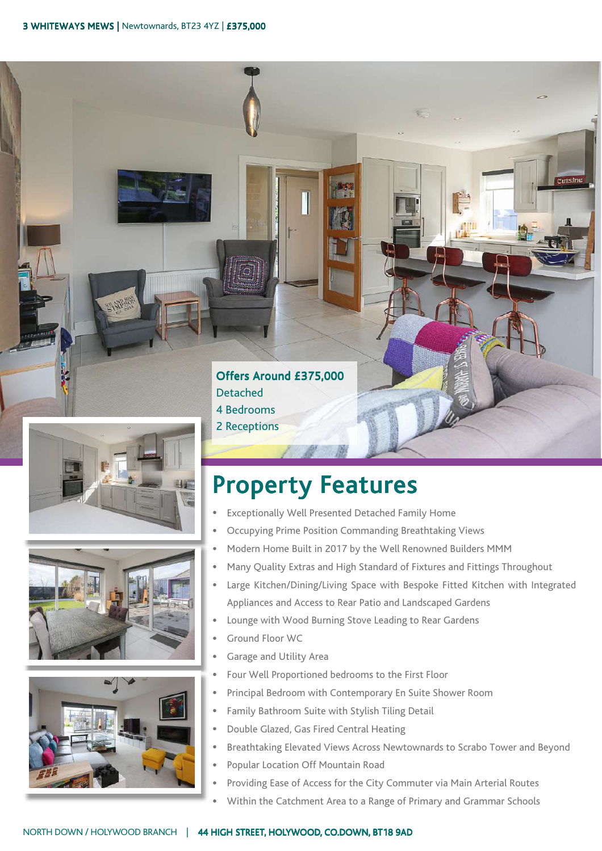





#### Offers Around £375,000 Detached 4 Bedrooms

2 Receptions

## Property Features

- Exceptionally Well Presented Detached Family Home
- Occupying Prime Position Commanding Breathtaking Views
- Modern Home Built in 2017 by the Well Renowned Builders MMM  $\ddot{\phantom{0}}$
- Many Quality Extras and High Standard of Fixtures and Fittings Throughout  $\bullet$
- Large Kitchen/Dining/Living Space with Bespoke Fitted Kitchen with Integrated  $\bullet$ Appliances and Access to Rear Patio and Landscaped Gardens

....eiv

- Lounge with Wood Burning Stove Leading to Rear Gardens  $\bullet$
- Ground Floor WC
- ä Garage and Utility Area
- $\bullet$ Four Well Proportioned bedrooms to the First Floor
- Principal Bedroom with Contemporary En Suite Shower Room
- Family Bathroom Suite with Stylish Tiling Detail  $\bullet$
- Double Glazed, Gas Fired Central Heating
- Breathtaking Elevated Views Across Newtownards to Scrabo Tower and Beyond
- Popular Location Off Mountain Road  $\mathbf{r}$
- Providing Ease of Access for the City Commuter via Main Arterial Routes
- Within the Catchment Area to a Range of Primary and Grammar Schools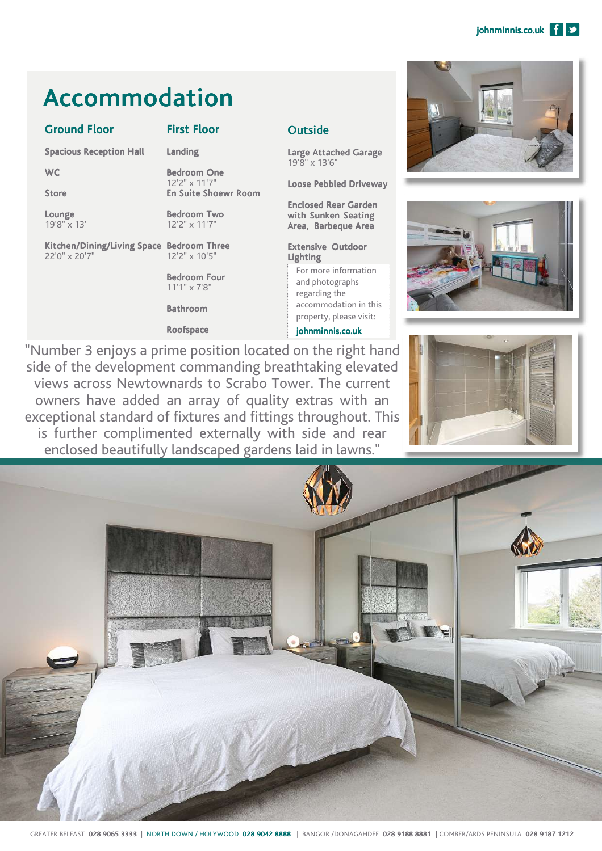## Accommodation

#### Ground Floor

First Floor

Landing

Spacious Reception Hall

**WC** Store

Lounge 19'8" x 13' Bedroom One

12'2" x 11'7" En Suite Shoewr Room

> Bedroom Two 12'2" x 11'7"

Kitchen/Dining/Living Space Bedroom Three 22'0" x 20'7" 12'2" x 10'5"

> Bedroom Four 11'1" x 7'8"

Bathroom

Roofspace

#### **Outside**

Large Attached Garage 19'8" x 13'6"

Loose Pebbled Driveway

Enclosed Rear Garden with Sunken Seating Area, Barbeque Area

#### Extensive Outdoor Lighting

For more information and photographs regarding the accommodation in this property, please visit:

johnminnis.co.uk

"Number 3 enjoys a prime position located on the right hand side of the development commanding breathtaking elevated views across Newtownards to Scrabo Tower. The current owners have added an array of quality extras with an exceptional standard of fixtures and fittings throughout. This is further complimented externally with side and rear enclosed beautifully landscaped gardens laid in lawns."